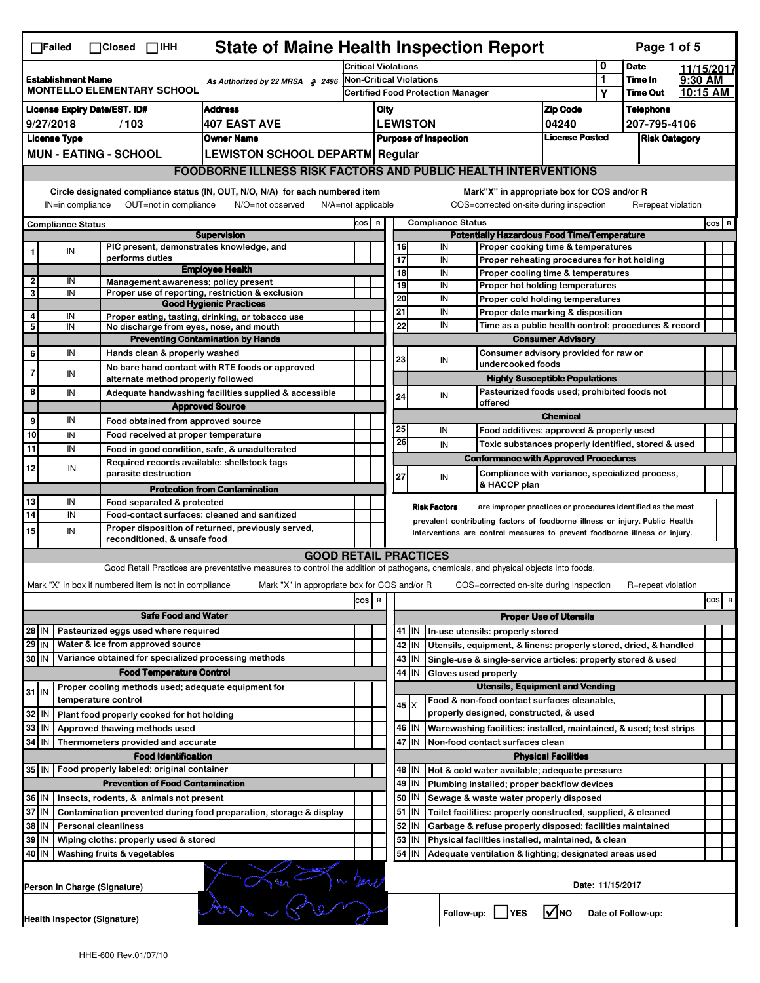|                                                                                                   | $\Box$ Failed                                                                     |                     | $\Box$ Closed $\Box$ IHH                   |                            | <b>State of Maine Health Inspection Report</b>                                                                                    |                                   |                                                       |                                                    |                                                           |                      |                                                                                                      |                               |                  | Page 1 of 5          |          |            |
|---------------------------------------------------------------------------------------------------|-----------------------------------------------------------------------------------|---------------------|--------------------------------------------|----------------------------|-----------------------------------------------------------------------------------------------------------------------------------|-----------------------------------|-------------------------------------------------------|----------------------------------------------------|-----------------------------------------------------------|----------------------|------------------------------------------------------------------------------------------------------|-------------------------------|------------------|----------------------|----------|------------|
|                                                                                                   |                                                                                   |                     |                                            |                            |                                                                                                                                   | <b>Critical Violations</b>        |                                                       |                                                    |                                                           |                      |                                                                                                      |                               | 0                | <b>Date</b>          |          | 11/15/2017 |
| <b>Establishment Name</b><br>As Authorized by 22 MRSA § 2496<br><b>MONTELLO ELEMENTARY SCHOOL</b> |                                                                                   |                     | <b>Non-Critical Violations</b>             |                            |                                                                                                                                   |                                   |                                                       |                                                    | 1                                                         | Time In              | 9:30 AM                                                                                              |                               |                  |                      |          |            |
|                                                                                                   |                                                                                   |                     |                                            |                            |                                                                                                                                   | Certified Food Protection Manager |                                                       |                                                    |                                                           |                      |                                                                                                      | Y                             | <b>Time Out</b>  |                      | 10:15 AM |            |
|                                                                                                   | <b>License Expiry Date/EST. ID#</b>                                               |                     |                                            |                            | <b>Address</b>                                                                                                                    | <b>Zip Code</b><br>City           |                                                       |                                                    |                                                           |                      |                                                                                                      |                               | <b>Telephone</b> |                      |          |            |
|                                                                                                   | 9/27/2018                                                                         |                     | /103                                       |                            | <b>407 EAST AVE</b>                                                                                                               |                                   |                                                       |                                                    | <b>LEWISTON</b>                                           |                      |                                                                                                      | 04240                         |                  | 207-795-4106         |          |            |
|                                                                                                   | <b>License Type</b>                                                               |                     |                                            |                            | <b>Owner Name</b>                                                                                                                 |                                   | <b>License Posted</b><br><b>Purpose of Inspection</b> |                                                    |                                                           |                      |                                                                                                      |                               |                  | <b>Risk Category</b> |          |            |
|                                                                                                   | <b>MUN - EATING - SCHOOL</b>                                                      |                     |                                            |                            | <b>LEWISTON SCHOOL DEPARTM Regular</b>                                                                                            |                                   |                                                       |                                                    |                                                           |                      |                                                                                                      |                               |                  |                      |          |            |
|                                                                                                   |                                                                                   |                     |                                            |                            | <b>FOODBORNE ILLNESS RISK FACTORS AND PUBLIC HEALTH INTERVENTIONS</b>                                                             |                                   |                                                       |                                                    |                                                           |                      |                                                                                                      |                               |                  |                      |          |            |
|                                                                                                   | Circle designated compliance status (IN, OUT, N/O, N/A) for each numbered item    |                     |                                            |                            |                                                                                                                                   |                                   |                                                       |                                                    |                                                           |                      | Mark"X" in appropriate box for COS and/or R                                                          |                               |                  |                      |          |            |
|                                                                                                   | IN=in compliance                                                                  |                     | OUT=not in compliance                      |                            | N/O=not observed                                                                                                                  | $N/A = not$ applicable            |                                                       |                                                    |                                                           |                      | COS=corrected on-site during inspection                                                              |                               |                  | R=repeat violation   |          |            |
|                                                                                                   |                                                                                   |                     |                                            |                            |                                                                                                                                   |                                   |                                                       |                                                    |                                                           |                      |                                                                                                      |                               |                  |                      |          |            |
| <b>Compliance Status</b><br><b>Supervision</b>                                                    |                                                                                   |                     |                                            | COS R                      |                                                                                                                                   |                                   |                                                       | <b>Compliance Status</b>                           | <b>Potentially Hazardous Food Time/Temperature</b>        |                      |                                                                                                      |                               |                  | $cos$ R              |          |            |
| 1                                                                                                 | IN                                                                                |                     |                                            |                            | PIC present, demonstrates knowledge, and                                                                                          |                                   |                                                       | 16                                                 |                                                           | IN                   | Proper cooking time & temperatures                                                                   |                               |                  |                      |          |            |
|                                                                                                   |                                                                                   |                     | performs duties                            |                            |                                                                                                                                   |                                   |                                                       | $\overline{17}$                                    |                                                           | IN                   | Proper reheating procedures for hot holding                                                          |                               |                  |                      |          |            |
|                                                                                                   |                                                                                   |                     |                                            |                            | <b>Employee Health</b>                                                                                                            |                                   |                                                       | $\overline{18}$                                    |                                                           | IN                   | Proper cooling time & temperatures                                                                   |                               |                  |                      |          |            |
| 2<br>3                                                                                            | IN<br>IN                                                                          |                     |                                            |                            | Management awareness; policy present<br>Proper use of reporting, restriction & exclusion                                          |                                   |                                                       | 19                                                 |                                                           | IN                   | Proper hot holding temperatures                                                                      |                               |                  |                      |          |            |
|                                                                                                   |                                                                                   |                     |                                            |                            | <b>Good Hygienic Practices</b>                                                                                                    |                                   |                                                       | 20                                                 |                                                           | IN                   | Proper cold holding temperatures                                                                     |                               |                  |                      |          |            |
| 4                                                                                                 | IN                                                                                |                     |                                            |                            | Proper eating, tasting, drinking, or tobacco use                                                                                  |                                   |                                                       | 21                                                 |                                                           | IN                   | Proper date marking & disposition                                                                    |                               |                  |                      |          |            |
| 5                                                                                                 | IN                                                                                |                     |                                            |                            | No discharge from eyes, nose, and mouth                                                                                           |                                   |                                                       | 22                                                 |                                                           | IN                   | Time as a public health control: procedures & record                                                 |                               |                  |                      |          |            |
|                                                                                                   |                                                                                   |                     |                                            |                            | <b>Preventing Contamination by Hands</b>                                                                                          |                                   |                                                       |                                                    |                                                           |                      |                                                                                                      | <b>Consumer Advisory</b>      |                  |                      |          |            |
| 6                                                                                                 | IN                                                                                |                     | Hands clean & properly washed              |                            |                                                                                                                                   |                                   |                                                       | 23                                                 |                                                           | IN                   | Consumer advisory provided for raw or<br>undercooked foods                                           |                               |                  |                      |          |            |
| $\overline{7}$                                                                                    | IN                                                                                |                     |                                            |                            | No bare hand contact with RTE foods or approved<br>alternate method properly followed                                             |                                   |                                                       |                                                    |                                                           |                      | <b>Highly Susceptible Populations</b>                                                                |                               |                  |                      |          |            |
| 8                                                                                                 | IN                                                                                |                     |                                            |                            | Adequate handwashing facilities supplied & accessible                                                                             |                                   |                                                       |                                                    |                                                           |                      | Pasteurized foods used; prohibited foods not                                                         |                               |                  |                      |          |            |
|                                                                                                   |                                                                                   |                     |                                            |                            | <b>Approved Source</b>                                                                                                            |                                   |                                                       | 24                                                 |                                                           | IN                   | offered                                                                                              |                               |                  |                      |          |            |
| 9                                                                                                 | IN                                                                                |                     |                                            |                            | Food obtained from approved source                                                                                                |                                   |                                                       |                                                    |                                                           |                      |                                                                                                      | <b>Chemical</b>               |                  |                      |          |            |
| 10                                                                                                | IN                                                                                |                     |                                            |                            | Food received at proper temperature                                                                                               |                                   |                                                       | 25                                                 |                                                           | IN                   | Food additives: approved & properly used                                                             |                               |                  |                      |          |            |
| 11                                                                                                | IN                                                                                |                     |                                            |                            | Food in good condition, safe, & unadulterated                                                                                     |                                   |                                                       | 26                                                 |                                                           | IN                   | Toxic substances properly identified, stored & used                                                  |                               |                  |                      |          |            |
|                                                                                                   |                                                                                   |                     |                                            |                            | Required records available: shellstock tags                                                                                       |                                   |                                                       |                                                    |                                                           |                      | <b>Conformance with Approved Procedures</b>                                                          |                               |                  |                      |          |            |
| 12                                                                                                | IN                                                                                |                     | parasite destruction                       |                            |                                                                                                                                   |                                   |                                                       | 27                                                 |                                                           | IN                   | Compliance with variance, specialized process,                                                       |                               |                  |                      |          |            |
|                                                                                                   |                                                                                   |                     |                                            |                            | <b>Protection from Contamination</b>                                                                                              |                                   |                                                       |                                                    |                                                           |                      | & HACCP plan                                                                                         |                               |                  |                      |          |            |
| 13                                                                                                | IN                                                                                |                     | Food separated & protected                 |                            |                                                                                                                                   |                                   |                                                       |                                                    |                                                           | <b>Risk Factors</b>  | are improper practices or procedures identified as the most                                          |                               |                  |                      |          |            |
| $\overline{14}$                                                                                   | IN                                                                                |                     |                                            |                            | Food-contact surfaces: cleaned and sanitized                                                                                      |                                   |                                                       |                                                    |                                                           |                      | prevalent contributing factors of foodborne illness or injury. Public Health                         |                               |                  |                      |          |            |
| 15                                                                                                | IN                                                                                |                     | reconditioned, & unsafe food               |                            | Proper disposition of returned, previously served,                                                                                |                                   |                                                       |                                                    |                                                           |                      | Interventions are control measures to prevent foodborne illness or injury.                           |                               |                  |                      |          |            |
|                                                                                                   |                                                                                   |                     |                                            |                            | <b>GOOD RETAIL PRACTICES</b>                                                                                                      |                                   |                                                       |                                                    |                                                           |                      |                                                                                                      |                               |                  |                      |          |            |
|                                                                                                   |                                                                                   |                     |                                            |                            | Good Retail Practices are preventative measures to control the addition of pathogens, chemicals, and physical objects into foods. |                                   |                                                       |                                                    |                                                           |                      |                                                                                                      |                               |                  |                      |          |            |
|                                                                                                   | Mark "X" in box if numbered item is not in compliance                             |                     |                                            |                            | Mark "X" in appropriate box for COS and/or R                                                                                      |                                   |                                                       |                                                    |                                                           |                      | COS=corrected on-site during inspection                                                              |                               |                  | R=repeat violation   |          |            |
|                                                                                                   |                                                                                   |                     |                                            |                            |                                                                                                                                   | cos                               | R                                                     |                                                    |                                                           |                      |                                                                                                      |                               |                  |                      |          | cos R      |
|                                                                                                   |                                                                                   |                     |                                            | <b>Safe Food and Water</b> |                                                                                                                                   |                                   |                                                       |                                                    |                                                           |                      |                                                                                                      | <b>Proper Use of Utensils</b> |                  |                      |          |            |
| $28$ IN                                                                                           |                                                                                   |                     | Pasteurized eggs used where required       |                            |                                                                                                                                   |                                   |                                                       |                                                    | $41$ M                                                    |                      |                                                                                                      |                               |                  |                      |          |            |
| $29$ IN                                                                                           |                                                                                   |                     | Water & ice from approved source           |                            |                                                                                                                                   |                                   |                                                       | 42                                                 | IN                                                        |                      | In-use utensils: properly stored<br>Utensils, equipment, & linens: properly stored, dried, & handled |                               |                  |                      |          |            |
| $30$ IN                                                                                           |                                                                                   |                     |                                            |                            | Variance obtained for specialized processing methods                                                                              |                                   |                                                       | 43                                                 | IN.                                                       |                      | Single-use & single-service articles: properly stored & used                                         |                               |                  |                      |          |            |
|                                                                                                   |                                                                                   |                     | <b>Food Temperature Control</b>            |                            |                                                                                                                                   |                                   |                                                       | 44                                                 | IN                                                        | Gloves used properly |                                                                                                      |                               |                  |                      |          |            |
|                                                                                                   |                                                                                   |                     |                                            |                            | Proper cooling methods used; adequate equipment for                                                                               |                                   |                                                       |                                                    |                                                           |                      | <b>Utensils, Equipment and Vending</b>                                                               |                               |                  |                      |          |            |
| $31$ IN                                                                                           |                                                                                   | temperature control |                                            |                            |                                                                                                                                   |                                   |                                                       |                                                    |                                                           |                      | Food & non-food contact surfaces cleanable,                                                          |                               |                  |                      |          |            |
| 32                                                                                                | IN                                                                                |                     | Plant food properly cooked for hot holding |                            |                                                                                                                                   |                                   |                                                       |                                                    | $45 \times$                                               |                      | properly designed, constructed, & used                                                               |                               |                  |                      |          |            |
| 33                                                                                                | IN                                                                                |                     | Approved thawing methods used              |                            |                                                                                                                                   |                                   |                                                       | 46                                                 | ΙM                                                        |                      | Warewashing facilities: installed, maintained, & used; test strips                                   |                               |                  |                      |          |            |
| 34                                                                                                | l IN                                                                              |                     | Thermometers provided and accurate         |                            |                                                                                                                                   |                                   |                                                       | 47                                                 | İΙN                                                       |                      | Non-food contact surfaces clean                                                                      |                               |                  |                      |          |            |
|                                                                                                   |                                                                                   |                     |                                            | <b>Food Identification</b> |                                                                                                                                   |                                   |                                                       |                                                    |                                                           |                      |                                                                                                      | <b>Physical Facilities</b>    |                  |                      |          |            |
| 35 IN                                                                                             |                                                                                   |                     | Food properly labeled; original container  |                            |                                                                                                                                   |                                   |                                                       |                                                    | 48   IN                                                   |                      | Hot & cold water available; adequate pressure                                                        |                               |                  |                      |          |            |
|                                                                                                   |                                                                                   |                     |                                            |                            | <b>Prevention of Food Contamination</b>                                                                                           |                                   |                                                       | 49                                                 | IN                                                        |                      | Plumbing installed; proper backflow devices                                                          |                               |                  |                      |          |            |
| 36 IN                                                                                             |                                                                                   |                     | Insects, rodents, & animals not present    |                            |                                                                                                                                   |                                   |                                                       | 50<br>ΙN<br>Sewage & waste water properly disposed |                                                           |                      |                                                                                                      |                               |                  |                      |          |            |
| 37 IN                                                                                             |                                                                                   |                     |                                            |                            | Contamination prevented during food preparation, storage & display                                                                |                                   |                                                       | 51                                                 | IN.                                                       |                      | Toilet facilities: properly constructed, supplied, & cleaned                                         |                               |                  |                      |          |            |
| 38                                                                                                | IN<br><b>Personal cleanliness</b>                                                 |                     |                                            |                            |                                                                                                                                   | 52                                | IN                                                    |                                                    | Garbage & refuse properly disposed; facilities maintained |                      |                                                                                                      |                               |                  |                      |          |            |
| 39                                                                                                | IN                                                                                |                     | Wiping cloths: properly used & stored      |                            |                                                                                                                                   |                                   |                                                       | 53                                                 | IN                                                        |                      | Physical facilities installed, maintained, & clean                                                   |                               |                  |                      |          |            |
| 40 IN                                                                                             |                                                                                   |                     | Washing fruits & vegetables                |                            |                                                                                                                                   |                                   |                                                       | 54                                                 | ΙM                                                        |                      | Adequate ventilation & lighting; designated areas used                                               |                               |                  |                      |          |            |
|                                                                                                   | Date: 11/15/2017<br>Person in Charge (Signature)                                  |                     |                                            |                            |                                                                                                                                   |                                   |                                                       |                                                    |                                                           |                      |                                                                                                      |                               |                  |                      |          |            |
|                                                                                                   | l√lno<br>Follow-up:     YES<br>Date of Follow-up:<br>Health Inspector (Signature) |                     |                                            |                            |                                                                                                                                   |                                   |                                                       |                                                    |                                                           |                      |                                                                                                      |                               |                  |                      |          |            |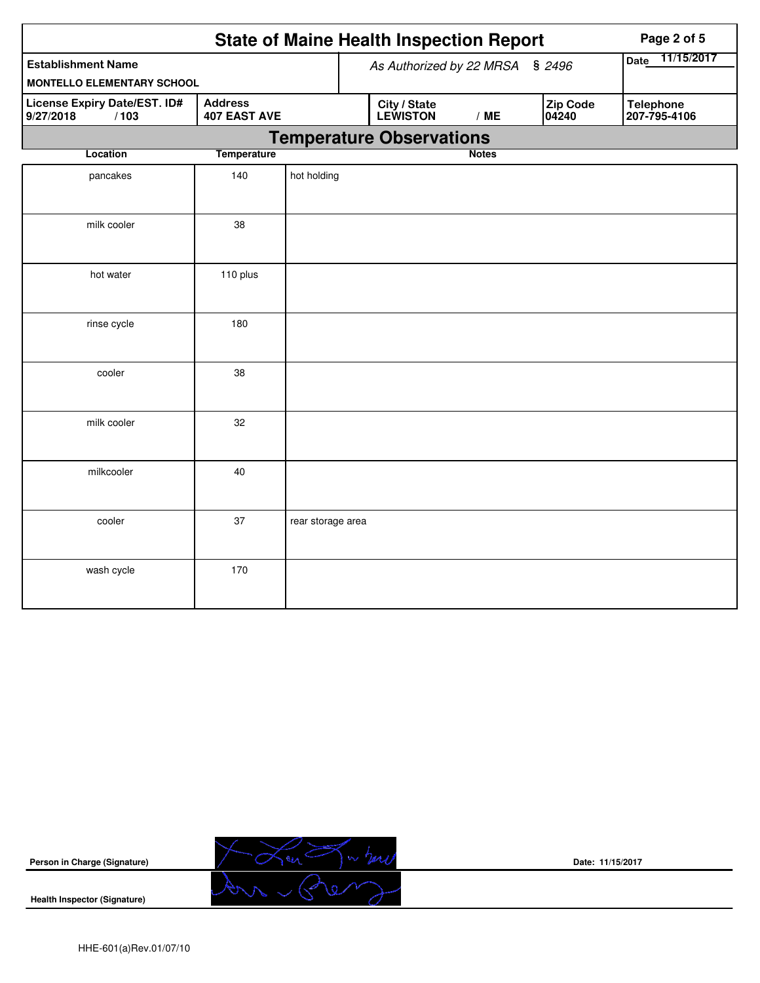| <b>State of Maine Health Inspection Report</b><br>Page 2 of 5 |                                    |                   |                                 |                                 |     |                    |                   |                                  |  |
|---------------------------------------------------------------|------------------------------------|-------------------|---------------------------------|---------------------------------|-----|--------------------|-------------------|----------------------------------|--|
| <b>Establishment Name</b>                                     | As Authorized by 22 MRSA<br>\$2496 |                   |                                 |                                 |     | 11/15/2017<br>Date |                   |                                  |  |
| <b>MONTELLO ELEMENTARY SCHOOL</b>                             |                                    |                   |                                 |                                 |     |                    |                   |                                  |  |
| License Expiry Date/EST. ID#<br>9/27/2018<br>/103             |                                    |                   | City / State<br><b>LEWISTON</b> |                                 | /ME |                    | Zip Code<br>04240 | <b>Telephone</b><br>207-795-4106 |  |
|                                                               |                                    |                   |                                 | <b>Temperature Observations</b> |     |                    |                   |                                  |  |
| <b>Temperature</b><br>Location                                |                                    |                   |                                 |                                 |     | <b>Notes</b>       |                   |                                  |  |
| pancakes                                                      | 140                                | hot holding       |                                 |                                 |     |                    |                   |                                  |  |
| milk cooler                                                   | 38                                 |                   |                                 |                                 |     |                    |                   |                                  |  |
| hot water                                                     | 110 plus                           |                   |                                 |                                 |     |                    |                   |                                  |  |
| rinse cycle                                                   | 180                                |                   |                                 |                                 |     |                    |                   |                                  |  |
| cooler                                                        | 38                                 |                   |                                 |                                 |     |                    |                   |                                  |  |
| milk cooler                                                   | 32                                 |                   |                                 |                                 |     |                    |                   |                                  |  |
| milkcooler                                                    | 40                                 |                   |                                 |                                 |     |                    |                   |                                  |  |
| cooler                                                        | 37                                 | rear storage area |                                 |                                 |     |                    |                   |                                  |  |
| wash cycle                                                    | 170                                |                   |                                 |                                 |     |                    |                   |                                  |  |



**Date: 11/15/2017**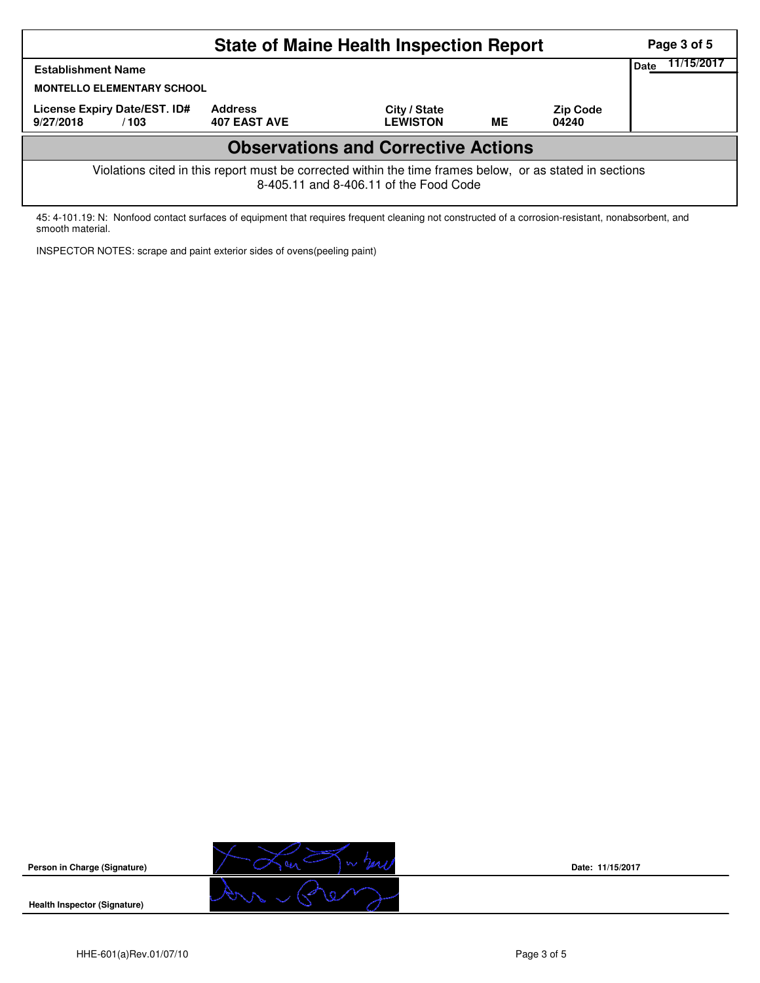|                                                                                                                                                    | Page 3 of 5                           |                                 |    |                          |  |  |  |  |  |
|----------------------------------------------------------------------------------------------------------------------------------------------------|---------------------------------------|---------------------------------|----|--------------------------|--|--|--|--|--|
| <b>Establishment Name</b>                                                                                                                          | 11/15/2017<br>Date                    |                                 |    |                          |  |  |  |  |  |
| <b>MONTELLO ELEMENTARY SCHOOL</b>                                                                                                                  |                                       |                                 |    |                          |  |  |  |  |  |
| License Expiry Date/EST. ID#<br>9/27/2018<br>/103                                                                                                  | <b>Address</b><br><b>407 EAST AVE</b> | City / State<br><b>LEWISTON</b> | ME | <b>Zip Code</b><br>04240 |  |  |  |  |  |
| <b>Observations and Corrective Actions</b>                                                                                                         |                                       |                                 |    |                          |  |  |  |  |  |
| Violations cited in this report must be corrected within the time frames below, or as stated in sections<br>8-405.11 and 8-406.11 of the Food Code |                                       |                                 |    |                          |  |  |  |  |  |

45: 4-101.19: N: Nonfood contact surfaces of equipment that requires frequent cleaning not constructed of a corrosion-resistant, nonabsorbent, and smooth material.

INSPECTOR NOTES: scrape and paint exterior sides of ovens(peeling paint)



**Date: 11/15/2017**

**Health Inspector (Signature)**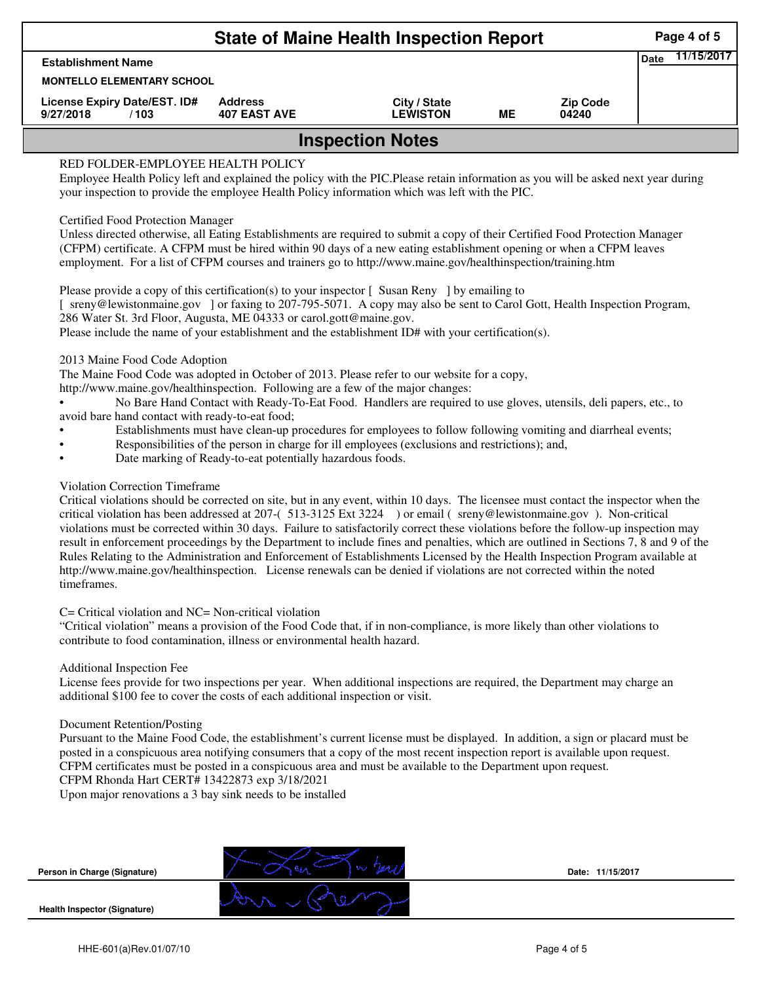| <b>State of Maine Health Inspection Report</b><br>Page 4 of 5 |                                       |                                 |    |                          |  |  |  |  |  |
|---------------------------------------------------------------|---------------------------------------|---------------------------------|----|--------------------------|--|--|--|--|--|
| <b>Establishment Name</b>                                     | <b>Date</b>                           | 11/15/2017                      |    |                          |  |  |  |  |  |
|                                                               | <b>MONTELLO ELEMENTARY SCHOOL</b>     |                                 |    |                          |  |  |  |  |  |
| License Expiry Date/EST. ID#<br>9/27/2018<br>/103             | <b>Address</b><br><b>407 EAST AVE</b> | City / State<br><b>LEWISTON</b> | ME | <b>Zip Code</b><br>04240 |  |  |  |  |  |
| <b>Inspection Notes</b>                                       |                                       |                                 |    |                          |  |  |  |  |  |

# RED FOLDER-EMPLOYEE HEALTH POLICY

Employee Health Policy left and explained the policy with the PIC.Please retain information as you will be asked next year during your inspection to provide the employee Health Policy information which was left with the PIC.

## Certified Food Protection Manager

Unless directed otherwise, all Eating Establishments are required to submit a copy of their Certified Food Protection Manager (CFPM) certificate. A CFPM must be hired within 90 days of a new eating establishment opening or when a CFPM leaves employment. For a list of CFPM courses and trainers go to http://www.maine.gov/healthinspection/training.htm

Please provide a copy of this certification(s) to your inspector [Susan Reny ] by emailing to [ sreny@lewistonmaine.gov ] or faxing to 207-795-5071. A copy may also be sent to Carol Gott, Health Inspection Program, 286 Water St. 3rd Floor, Augusta, ME 04333 or carol.gott@maine.gov.

Please include the name of your establishment and the establishment ID# with your certification(s).

2013 Maine Food Code Adoption

The Maine Food Code was adopted in October of 2013. Please refer to our website for a copy,

http://www.maine.gov/healthinspection. Following are a few of the major changes:

• No Bare Hand Contact with Ready-To-Eat Food. Handlers are required to use gloves, utensils, deli papers, etc., to avoid bare hand contact with ready-to-eat food;

- Establishments must have clean-up procedures for employees to follow following vomiting and diarrheal events;
- Responsibilities of the person in charge for ill employees (exclusions and restrictions); and,
- Date marking of Ready-to-eat potentially hazardous foods.

## Violation Correction Timeframe

Critical violations should be corrected on site, but in any event, within 10 days. The licensee must contact the inspector when the critical violation has been addressed at 207-( 513-3125 Ext 3224 ) or email ( sreny@lewistonmaine.gov ). Non-critical violations must be corrected within 30 days. Failure to satisfactorily correct these violations before the follow-up inspection may result in enforcement proceedings by the Department to include fines and penalties, which are outlined in Sections 7, 8 and 9 of the Rules Relating to the Administration and Enforcement of Establishments Licensed by the Health Inspection Program available at http://www.maine.gov/healthinspection. License renewals can be denied if violations are not corrected within the noted timeframes.

### C= Critical violation and NC= Non-critical violation

"Critical violation" means a provision of the Food Code that, if in non-compliance, is more likely than other violations to contribute to food contamination, illness or environmental health hazard.

### Additional Inspection Fee

License fees provide for two inspections per year. When additional inspections are required, the Department may charge an additional \$100 fee to cover the costs of each additional inspection or visit.

### Document Retention/Posting

Pursuant to the Maine Food Code, the establishment's current license must be displayed. In addition, a sign or placard must be posted in a conspicuous area notifying consumers that a copy of the most recent inspection report is available upon request. CFPM certificates must be posted in a conspicuous area and must be available to the Department upon request.

CFPM Rhonda Hart CERT# 13422873 exp 3/18/2021

Upon major renovations a 3 bay sink needs to be installed